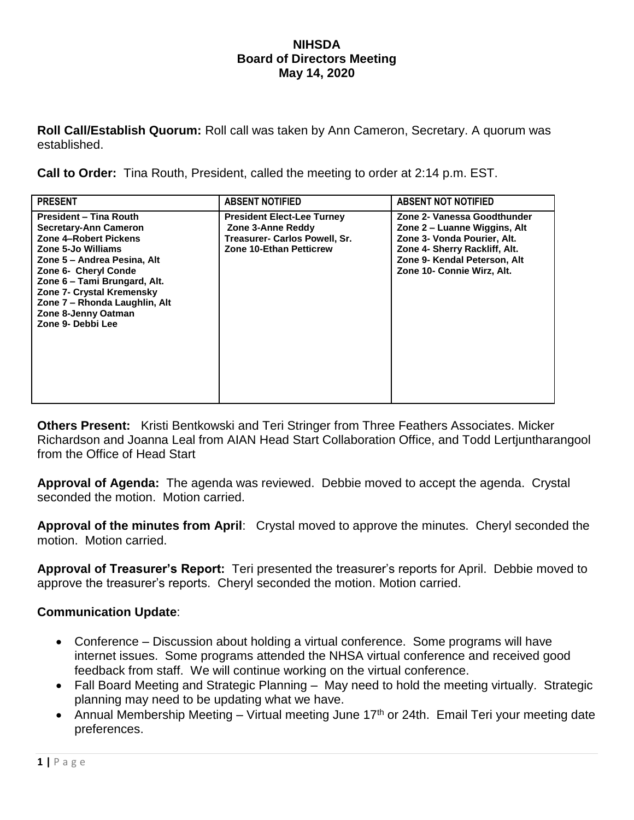## **NIHSDA Board of Directors Meeting May 14, 2020**

**Roll Call/Establish Quorum:** Roll call was taken by Ann Cameron, Secretary. A quorum was established.

**Call to Order:** Tina Routh, President, called the meeting to order at 2:14 p.m. EST.

| <b>PRESENT</b>                                                                                                                                                                                                                                                                                                       | <b>ABSENT NOTIFIED</b>                                                                                                    | <b>ABSENT NOT NOTIFIED</b>                                                                                                                                                                |
|----------------------------------------------------------------------------------------------------------------------------------------------------------------------------------------------------------------------------------------------------------------------------------------------------------------------|---------------------------------------------------------------------------------------------------------------------------|-------------------------------------------------------------------------------------------------------------------------------------------------------------------------------------------|
| <b>President - Tina Routh</b><br>Secretary-Ann Cameron<br>Zone 4-Robert Pickens<br>Zone 5-Jo Williams<br>Zone 5 – Andrea Pesina, Alt<br><b>Zone 6- Cheryl Conde</b><br>Zone 6 - Tami Brungard, Alt.<br><b>Zone 7- Crystal Kremensky</b><br>Zone 7 - Rhonda Laughlin, Alt<br>Zone 8-Jenny Oatman<br>Zone 9- Debbi Lee | <b>President Elect-Lee Turney</b><br>Zone 3-Anne Reddy<br>Treasurer- Carlos Powell, Sr.<br><b>Zone 10-Ethan Petticrew</b> | Zone 2- Vanessa Goodthunder<br>Zone 2 – Luanne Wiggins, Alt<br>Zone 3- Vonda Pourier, Alt.<br>Zone 4- Sherry Rackliff, Alt.<br>Zone 9- Kendal Peterson, Alt<br>Zone 10- Connie Wirz, Alt. |

**Others Present:** Kristi Bentkowski and Teri Stringer from Three Feathers Associates. Micker Richardson and Joanna Leal from AIAN Head Start Collaboration Office, and Todd Lertjuntharangool from the Office of Head Start

**Approval of Agenda:** The agenda was reviewed. Debbie moved to accept the agenda. Crystal seconded the motion. Motion carried.

**Approval of the minutes from April**: Crystal moved to approve the minutes. Cheryl seconded the motion. Motion carried.

**Approval of Treasurer's Report:** Teri presented the treasurer's reports for April. Debbie moved to approve the treasurer's reports. Cheryl seconded the motion. Motion carried.

## **Communication Update**:

- Conference Discussion about holding a virtual conference. Some programs will have internet issues. Some programs attended the NHSA virtual conference and received good feedback from staff. We will continue working on the virtual conference.
- Fall Board Meeting and Strategic Planning May need to hold the meeting virtually. Strategic planning may need to be updating what we have.
- Annual Membership Meeting Virtual meeting June 17<sup>th</sup> or 24th. Email Teri your meeting date preferences.